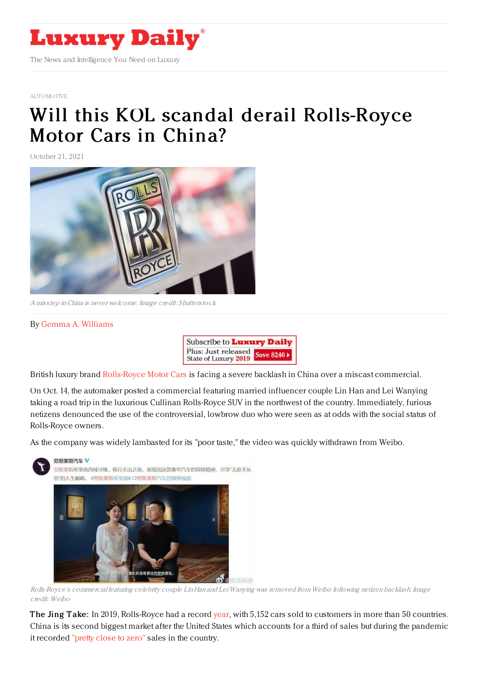

## [AUTOMOTIVE](https://www.luxurydaily.com/category/sectors/automotive-industry-sectors/)

## Will this KOL scandal derail [Rolls-Royce](https://www.luxurydaily.com/will-this-kol-scandal-derail-rolls-royce-motor-cars-in-china/) Motor Cars in China?

October 21, 2021



A misstep inChina is never welcome. Image credit: Shutterstock

## By Gemma A. [Williams](https://jingdaily.com/author/gemma-williams/)



British luxury brand [Rolls-Royce](https://jingdaily.com/rolls-royce-hermes-luxury-collab-phantom-oribe/) Motor Cars is facing a severe backlash in China over a miscast commercial.

On Oct. 14, the automaker posted a commercial featuring married influencer couple Lin Han and Lei Wanying taking a road trip in the luxurious Cullinan Rolls-Royce SUV in the northwest of the country. Immediately, furious netizens denounced the use of the controversial, lowbrow duo who were seen as at odds with the social status of Rolls-Royce owners.

As the company was widely lambasted for its "poor taste," the video was quickly withdrawn from Weibo.



Rolls-Royce's commercial featuring celebrity couple Lin Han and Lei Wanying was removed from Weibo following netizen backlash. Image credit: Weibo

The Jing Take: In 2019, Rolls-Royce had a record [year](https://theluxuryreporter.com/2020/01/rolls-royce-sells-5152-cars-in-50-countries-in-2019/), with 5,152 cars sold to customers in more than 50 countries. China is its second biggest market after the United States which accounts for a third of sales but during the pandemic it recorded ["pretty](https://www.cnbc.com/2020/02/28/rolls-royces-china-sales-fall-close-to-zero-due-to-coronavirus.html) close to zero" sales in the country.